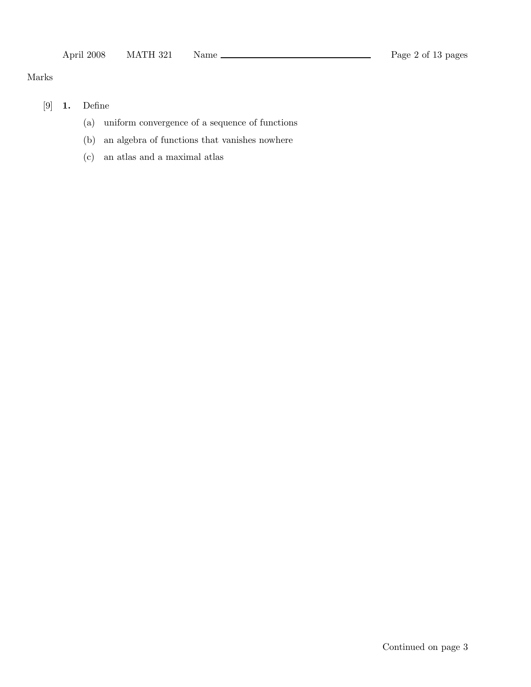### Marks

# [9] 1. Define

- (a) uniform convergence of a sequence of functions
- (b) an algebra of functions that vanishes nowhere
- (c) an atlas and a maximal atlas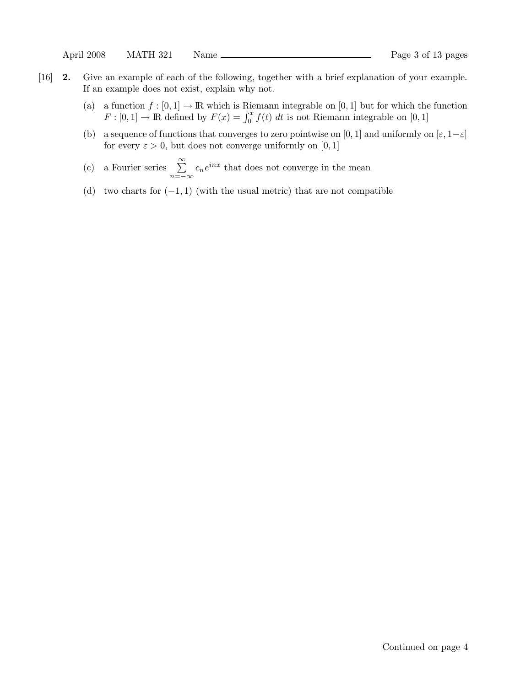- [16] 2. Give an example of each of the following, together with a brief explanation of your example. If an example does not exist, explain why not.
	- (a) a function  $f : [0,1] \to \mathbb{R}$  which is Riemann integrable on [0, 1] but for which the function  $F: [0,1] \to \mathbb{R}$  defined by  $F(x) = \int_0^x f(t) dt$  is not Riemann integrable on [0, 1]
	- (b) a sequence of functions that converges to zero pointwise on [0, 1] and uniformly on  $[\varepsilon, 1-\varepsilon]$ for every  $\varepsilon > 0$ , but does not converge uniformly on [0, 1]
	- (c) a Fourier series  $\sum_{n=1}^{\infty}$  $\sum_{n=-\infty} c_n e^{inx}$  that does not converge in the mean
	- (d) two charts for  $(-1, 1)$  (with the usual metric) that are not compatible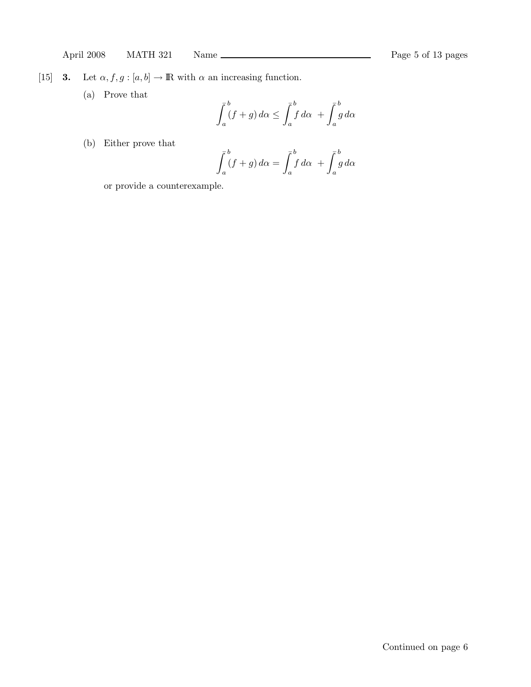[15] **3.** Let  $\alpha, f, g : [a, b] \to \mathbb{R}$  with  $\alpha$  an increasing function.

(a) Prove that

$$
\int_a^b (f+g) \, d\alpha \le \int_a^b f \, d\alpha \ + \int_a^b g \, d\alpha
$$

(b) Either prove that

$$
\int_{a}^{b} (f+g) d\alpha = \int_{a}^{b} f d\alpha + \int_{a}^{b} g d\alpha
$$

or provide a counterexample.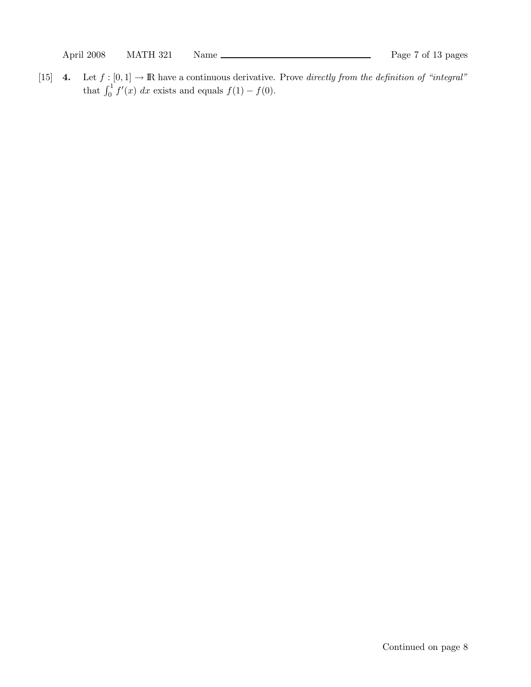April 2008 MATH 321 Name Rage 7 of 13 pages

[15] 4. Let  $f : [0, 1] \to \mathbb{R}$  have a continuous derivative. Prove directly from the definition of "integral" that  $\int_0^1 f'(x) dx$  exists and equals  $f(1) - f(0)$ .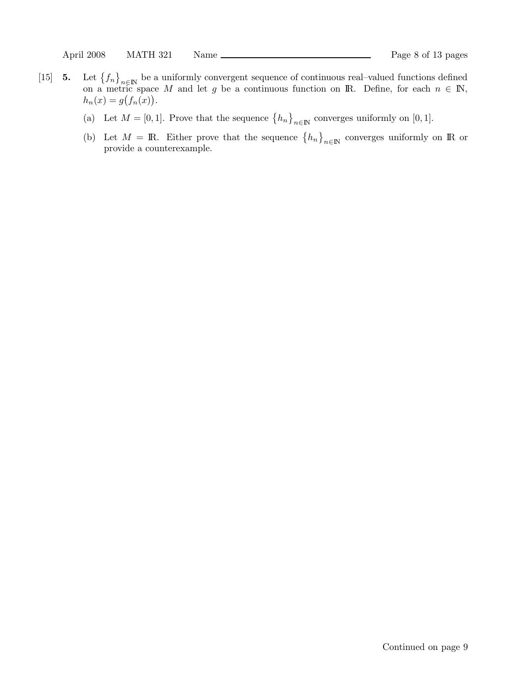- $[15]$  5.  $f_n\}_{n\in\mathbb{N}}$  be a uniformly convergent sequence of continuous real–valued functions defined on a metric space M and let g be a continuous function on IR. Define, for each  $n \in \mathbb{N}$ ,  $h_n(x) = g(f_n(x)).$ 
	- (a) Let  $M = [0, 1]$ . Prove that the sequence  $\{h_n\}_{n \in \mathbb{N}}$  converges uniformly on [0, 1].
	- (b) Let  $M = \mathbb{R}$ . Either prove that the sequence  $\{h_n\}_{n\in\mathbb{N}}$  converges uniformly on R or provide a counterexample.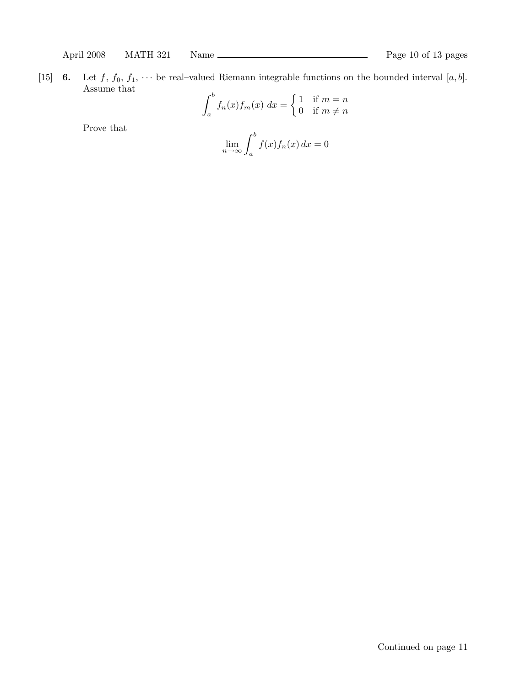[15] 6. Let  $f, f_0, f_1, \cdots$  be real-valued Riemann integrable functions on the bounded interval  $[a, b]$ . Assume that  $\overline{\phantom{a}}$  $\overline{ }$ 

$$
\int_{a}^{b} f_n(x) f_m(x) dx = \begin{cases} 1 & \text{if } m = n \\ 0 & \text{if } m \neq n \end{cases}
$$

Prove that

$$
\lim_{n \to \infty} \int_{a}^{b} f(x) f_n(x) \, dx = 0
$$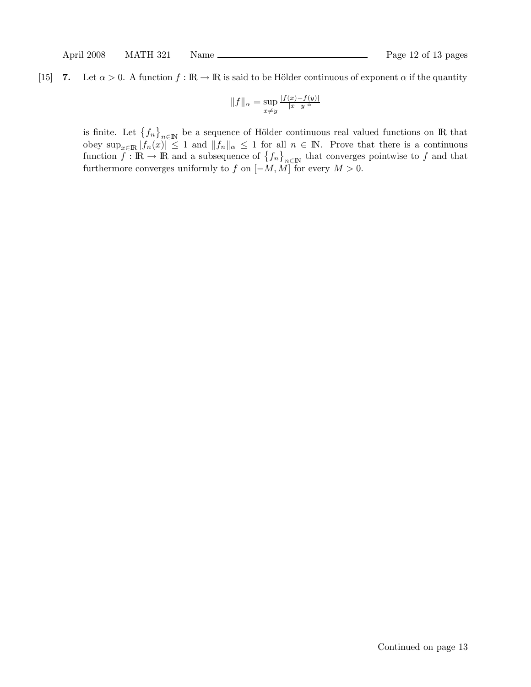## [15] 7. Let  $\alpha > 0$ . A function  $f : \mathbb{R} \to \mathbb{R}$  is said to be Hölder continuous of exponent  $\alpha$  if the quantity

$$
||f||_{\alpha} = \sup_{x \neq y} \frac{|f(x) - f(y)|}{|x - y|^{\alpha}}
$$

is finite. Let  $\{f_n\}_{n\in\mathbb{N}}$  be a sequence of Hölder continuous real valued functions on R that obey  $\sup_{x\in\mathbb{R}} |f_n(x)| \leq 1$  and  $||f_n||_{\alpha} \leq 1$  for all  $n \in \mathbb{N}$ . Prove that there is a continuous function  $f : \mathbb{R} \to \mathbb{R}$  and a subsequence of  $\{f_n\}_{n\in\mathbb{N}}$  that converges pointwise to f and that furthermore converges uniformly to f on  $[-M, M]$  for every  $M > 0$ .